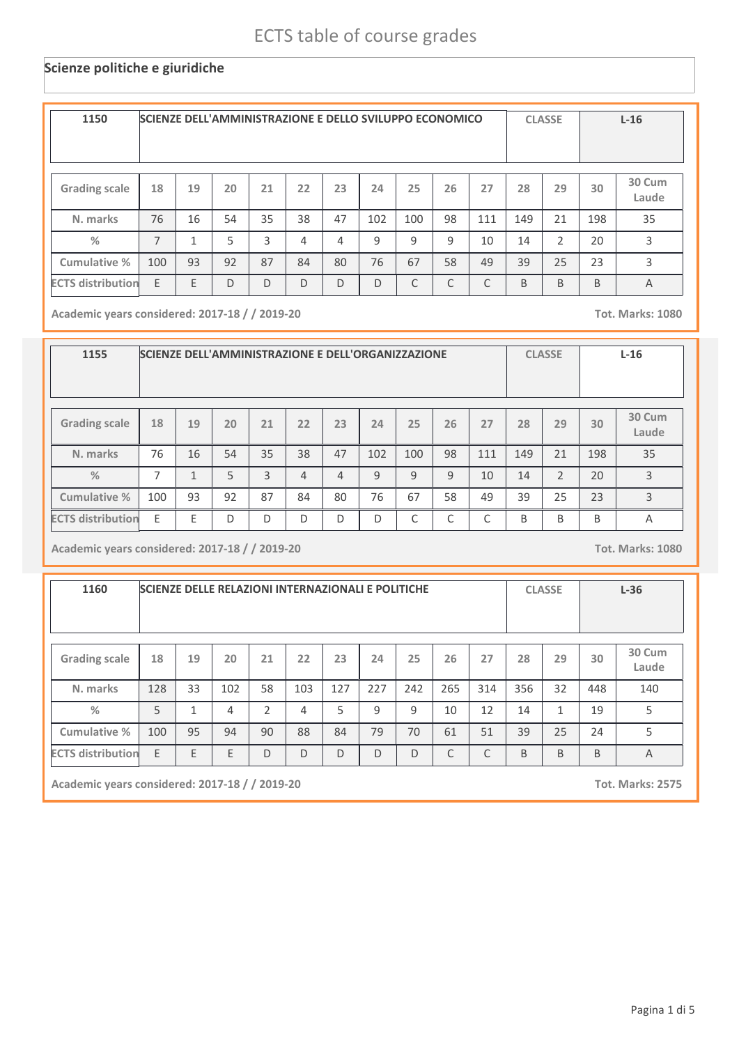### **Scienze politiche e giuridiche**

| 1150                     | SCIENZE DELL'AMMINISTRAZIONE E DELLO SVILUPPO ECONOMICO |    |    |    |    |    |              |              |    |              |     | <b>CLASSE</b> |     | $L-16$          |
|--------------------------|---------------------------------------------------------|----|----|----|----|----|--------------|--------------|----|--------------|-----|---------------|-----|-----------------|
| <b>Grading scale</b>     | 18                                                      | 19 | 20 | 21 | 22 | 23 | 24           | 25           | 26 | 27           | 28  | 29            | 30  | 30 Cum<br>Laude |
| N. marks                 | 76                                                      | 16 | 54 | 35 | 38 | 47 | 102          | 100          | 98 | 111          | 149 | 21            | 198 | 35              |
| $\frac{0}{2}$            | $\overline{7}$                                          |    | 5  | 3  | 4  | 4  | $\mathsf{q}$ | $\mathsf{q}$ | q  | 10           | 14  | $\mathcal{P}$ | 20  | 3               |
| Cumulative %             | 100                                                     | 93 | 92 | 87 | 84 | 80 | 76           | 67           | 58 | 49           | 39  | 25            | 23  | 3               |
| <b>ECTS distribution</b> | E                                                       | E  | D  | D  | D  | D  | D            | C            | C  | $\mathsf{C}$ | B   | B             | B   | $\overline{A}$  |

**Academic years considered: 2017-18 / / 2019-20 Tot. Marks: 1080**

| 1155                     |     | SCIENZE DELL'AMMINISTRAZIONE E DELL'ORGANIZZAZIONE |    |    |    |    |     |     |    |     |     | <b>CLASSE</b>  |     | $L-16$          |
|--------------------------|-----|----------------------------------------------------|----|----|----|----|-----|-----|----|-----|-----|----------------|-----|-----------------|
| <b>Grading scale</b>     | 18  | 19                                                 | 20 | 21 | 22 | 23 | 24  | 25  | 26 | 27  | 28  | 29             | 30  | 30 Cum<br>Laude |
| N. marks                 | 76  | 16                                                 | 54 | 35 | 38 | 47 | 102 | 100 | 98 | 111 | 149 | 21             | 198 | 35              |
| $\frac{9}{6}$            | 7   | 1                                                  | 5  | 3  | 4  | 4  | 9   | 9   | 9  | 10  | 14  | $\overline{2}$ | 20  | 3               |
| Cumulative %             | 100 | 93                                                 | 92 | 87 | 84 | 80 | 76  | 67  | 58 | 49  | 39  | 25             | 23  | 3               |
| <b>ECTS distribution</b> | E   | E                                                  | D  | D  | D  | D  | D   | C   | C  | ⌒   | B   | B              | B   | A               |

**Academic years considered: 2017-18 / / 2019-20 Tot. Marks: 1080**

| 1160                     | <b>SCIENZE DELLE RELAZIONI INTERNAZIONALI E POLITICHE</b> |              |     |                |     |     |     |              |     |     |     | <b>CLASSE</b> |     | $L-36$          |
|--------------------------|-----------------------------------------------------------|--------------|-----|----------------|-----|-----|-----|--------------|-----|-----|-----|---------------|-----|-----------------|
| <b>Grading scale</b>     | 18                                                        | 19           | 20  | 21             | 22  | 23  | 24  | 25           | 26  | 27  | 28  | 29            | 30  | 30 Cum<br>Laude |
| N. marks                 | 128                                                       | 33           | 102 | 58             | 103 | 127 | 227 | 242          | 265 | 314 | 356 | 32            | 448 | 140             |
| $\frac{0}{2}$            | 5                                                         | $\mathbf{1}$ | 4   | $\mathfrak{D}$ | 4   | 5   | 9   | 9            | 10  | 12  | 14  | $\mathbf{1}$  | 19  | 5               |
| Cumulative %             | 100                                                       | 95           | 94  | 90             | 88  | 84  | 79  | 70           | 61  | 51  | 39  | 25            | 24  | 5               |
| <b>ECTS distribution</b> | E                                                         | E            | E   | D              | D   | D   | D   | $\mathsf{D}$ | C   | C   | B   | B             | B   | A               |

**Academic years considered: 2017-18 / / 2019-20 Tot. Marks: 2575**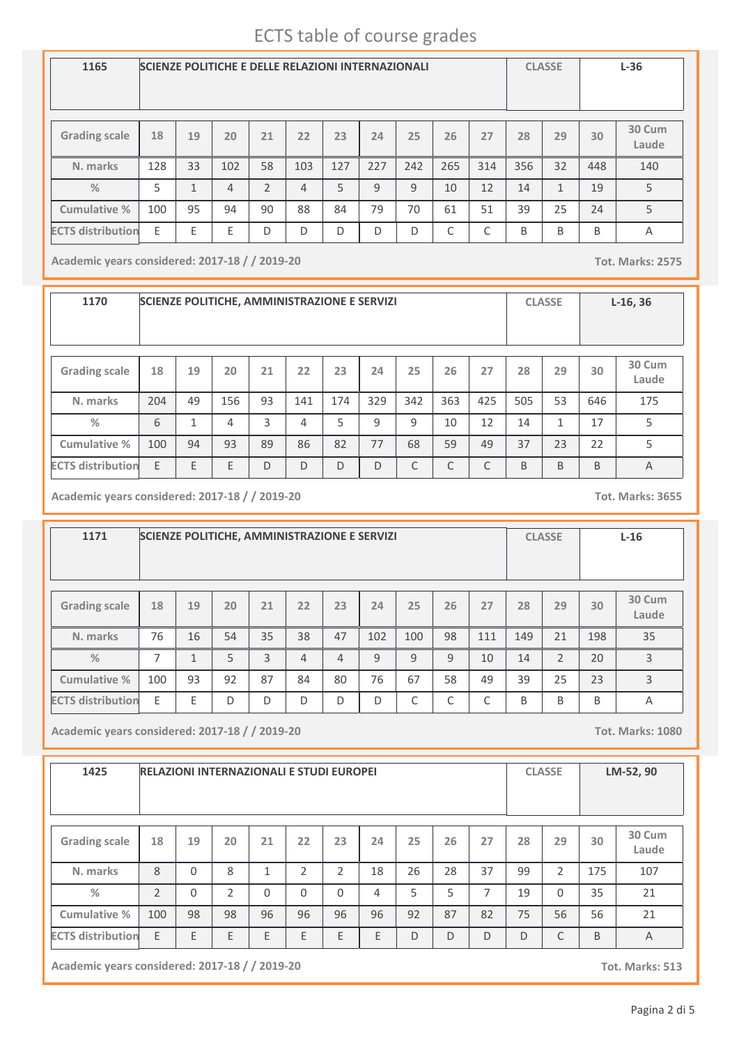| 1165                     | <b>SCIENZE POLITICHE E DELLE RELAZIONI INTERNAZIONALI</b> |                         |     |                |     |     |     |     |     |     |     | <b>CLASSE</b> |     | $L-36$          |
|--------------------------|-----------------------------------------------------------|-------------------------|-----|----------------|-----|-----|-----|-----|-----|-----|-----|---------------|-----|-----------------|
| <b>Grading scale</b>     | 18                                                        | 19                      | 20  | 21             | 22  | 23  | 24  | 25  | 26  | 27  | 28  | 29            | 30  | 30 Cum<br>Laude |
| N. marks                 | 128                                                       | 33                      | 102 | 58             | 103 | 127 | 227 | 242 | 265 | 314 | 356 | 32            | 448 | 140             |
| $\frac{0}{2}$            | 5                                                         | $\mathbf{\overline{1}}$ | 4   | $\overline{2}$ | 4   | 5   | 9   | 9   | 10  | 12  | 14  | $\mathbf{1}$  | 19  | 5               |
| Cumulative %             | 100                                                       | 95                      | 94  | 90             | 88  | 84  | 79  | 70  | 61  | 51  | 39  | 25            | 24  | 5               |
| <b>ECTS distribution</b> | Ε                                                         | E                       | E   | D              | D   | D   | D   | D   | C   | C   | B   | B             | B   | Α               |

**Academic years considered: 2017-18 / / 2019-20 Tot. Marks: 2575**

**1170 SCIENZE POLITICHE, AMMINISTRAZIONE E SERVIZI CLASSE L-16, 36 Grading scale 18 N. marks Cumulative % %** 204 **19** 49 **20** 156 **<sup>21</sup> <sup>22</sup> <sup>23</sup> <sup>24</sup> <sup>25</sup> <sup>26</sup> <sup>27</sup> <sup>28</sup> <sup>29</sup> 30 Cum Laude** 93 | 141 | 174 | 329 | 342 | 363 | 425 | 505 | 53 | 646 | 175 **30** 646 6 1 4 3 4 5 9 9 10 12 14 1 17 5 100 94 93 89 86 82 77 68 59 49 37 23 22 5 **ECTS distribution** E E E D D D D C C C B B B A

**Academic years considered: 2017-18 / / 2019-20 Tot. Marks: 3655**

**1171 SCIENZE POLITICHE, AMMINISTRAZIONE E SERVIZI CLASSE L-16 Grading scale 18 N. marks Cumulative % %** 76 **19** 16 **20** 54 **<sup>21</sup> <sup>22</sup> <sup>23</sup> <sup>24</sup> <sup>25</sup> <sup>26</sup> <sup>27</sup> <sup>28</sup> <sup>29</sup> 30 Cum Laude** 35 38 47 102 100 98 111 149 21 35 **30** 198 7 | 1 | 5 | 3 | 4 | 4 | 9 | 9 | 9 | 10 | 14 | 2 | 20 | 3 100 | 93 | 92 | 87 | 84 | 80 | 76 | 67 | 58 | 49 | 39 | 25 | 23 | 3 **ECTS distribution** E E D D D D D C C C B B B A

**Academic years considered: 2017-18 / / 2019-20 Tot. Marks: 1080**

| 1425                     |               |          |                |              |          | <b>RELAZIONI INTERNAZIONALI E STUDI EUROPEI</b> |                |    |    |    |    | <b>CLASSE</b>  |     | LM-52, 90       |
|--------------------------|---------------|----------|----------------|--------------|----------|-------------------------------------------------|----------------|----|----|----|----|----------------|-----|-----------------|
| <b>Grading scale</b>     | 18            | 19       | 20             | 21           | 22       | 23                                              | 24             | 25 | 26 | 27 | 28 | 29             | 30  | 30 Cum<br>Laude |
| N. marks                 | 8             | $\Omega$ | 8              | $\mathbf{1}$ | 2        | 2                                               | 18             | 26 | 28 | 37 | 99 | $\overline{2}$ | 175 | 107             |
| $\frac{0}{2}$            | $\mathcal{P}$ | $\Omega$ | $\overline{2}$ | $\Omega$     | $\Omega$ | $\Omega$                                        | $\overline{4}$ | 5  | 5  | 7  | 19 | $\Omega$       | 35  | 21              |
| Cumulative %             | 100           | 98       | 98             | 96           | 96       | 96                                              | 96             | 92 | 87 | 82 | 75 | 56             | 56  | 21              |
| <b>ECTS distribution</b> | E             | E        | E              | E            | E        | E                                               | E              | D  | D  | D  | D  | C              | B   | $\overline{A}$  |

**Academic years considered: 2017-18 / / 2019-20 Tot. Marks: 513**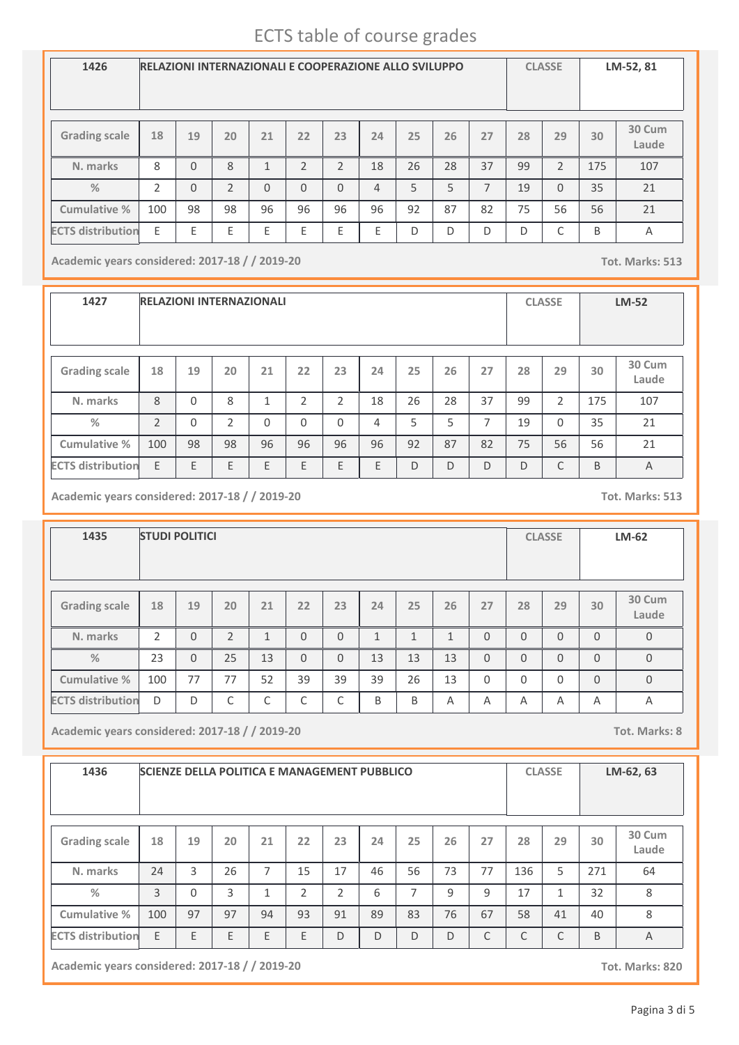| 1426                     |                |          |                |              | <b>RELAZIONI INTERNAZIONALI E COOPERAZIONE ALLO SVILUPPO</b> |                |                |    |    |    |    | <b>CLASSE</b>  |     | LM-52, 81       |
|--------------------------|----------------|----------|----------------|--------------|--------------------------------------------------------------|----------------|----------------|----|----|----|----|----------------|-----|-----------------|
| <b>Grading scale</b>     | 18             | 19       | 20             | 21           | 22                                                           | 23             | 24             | 25 | 26 | 27 | 28 | 29             | 30  | 30 Cum<br>Laude |
| N. marks                 | 8              | $\Omega$ | 8              | $\mathbf{1}$ | $\mathfrak{D}$                                               | $\overline{2}$ | 18             | 26 | 28 | 37 | 99 | $\overline{2}$ | 175 | 107             |
| $\frac{0}{2}$            | $\mathfrak{D}$ | $\Omega$ | $\mathfrak{D}$ | $\mathbf{0}$ | $\Omega$                                                     | $\Omega$       | $\overline{4}$ | 5  | 5  | 7  | 19 | $\Omega$       | 35  | 21              |
| Cumulative %             | 100            | 98       | 98             | 96           | 96                                                           | 96             | 96             | 92 | 87 | 82 | 75 | 56             | 56  | 21              |
| <b>ECTS distribution</b> | E              | E        | E              | E            | E                                                            | E              | E              | D  | D  | D  | D  | C              | B   | A               |

**Academic years considered: 2017-18 / / 2019-20 Tot. Marks: 513**

**1427 RELAZIONI INTERNAZIONALI CLASSE LM-52 Grading scale 18 N. marks Cumulative % %** 8 **19** 0 **20** 8 **<sup>21</sup> <sup>22</sup> <sup>23</sup> <sup>24</sup> <sup>25</sup> <sup>26</sup> <sup>27</sup> <sup>28</sup> <sup>29</sup> 30 Cum Laude** 1 | 2 | 2 | 18 | 26 | 28 | 37 | 99 | 2 | 175 | 107 **30** 175 2 0 2 0 0 0 0 4 5 5 7 19 0 35 21 100 98 98 96 96 96 96 92 87 82 75 56 56 21 **ECTS** distribution E E E E E E E E E E E E E D D D D D C B A

**Academic years considered: 2017-18 / / 2019-20 Tot. Marks: 513**

| 1435                     |                | <b>STUDI POLITICI</b> |                |                |          |          |              |              |              |          |          | <b>CLASSE</b> |          | LM-62           |
|--------------------------|----------------|-----------------------|----------------|----------------|----------|----------|--------------|--------------|--------------|----------|----------|---------------|----------|-----------------|
| <b>Grading scale</b>     | 18             | 19                    | 20             | 21             | 22       | 23       | 24           | 25           | 26           | 27       | 28       | 29            | 30       | 30 Cum<br>Laude |
| N. marks                 | $\overline{2}$ | $\overline{0}$        | $\overline{2}$ | $\overline{1}$ | $\Omega$ | 0        | $\mathbf{1}$ | $\mathbf{1}$ | $\mathbf{1}$ | $\Omega$ | $\Omega$ | $\Omega$      | $\Omega$ | $\mathbf{0}$    |
| $\frac{0}{2}$            | 23             | $\Omega$              | 25             | 13             | $\Omega$ | $\Omega$ | 13           | 13           | 13           | $\Omega$ | $\Omega$ | $\Omega$      | $\Omega$ | $\mathbf{0}$    |
| Cumulative %             | 100            | 77                    | 77             | 52             | 39       | 39       | 39           | 26           | 13           | $\Omega$ | $\Omega$ | $\Omega$      | $\Omega$ | $\mathbf{0}$    |
| <b>ECTS</b> distribution | D              | D                     | C              | C              | C        | C        | B            | B            | A            | A        | A        | Α             | Α        | Α               |

**Academic years considered: 2017-18 / / 2019-20 Tot. Marks: 8**

| 1436                     | <b>SCIENZE DELLA POLITICA E MANAGEMENT PUBBLICO</b> |          |    |              |    |                |    |    |    |    |     | <b>CLASSE</b> |     | LM-62, 63       |
|--------------------------|-----------------------------------------------------|----------|----|--------------|----|----------------|----|----|----|----|-----|---------------|-----|-----------------|
| <b>Grading scale</b>     | 18                                                  | 19       | 20 | 21           | 22 | 23             | 24 | 25 | 26 | 27 | 28  | 29            | 30  | 30 Cum<br>Laude |
| N. marks                 | 24                                                  | 3        | 26 | 7            | 15 | 17             | 46 | 56 | 73 | 77 | 136 | 5             | 271 | 64              |
| %                        | 3                                                   | $\Omega$ | 3  | $\mathbf{1}$ | 2  | $\overline{2}$ | 6  | 7  | 9  | 9  | 17  | 1             | 32  | 8               |
| Cumulative %             | 100                                                 | 97       | 97 | 94           | 93 | 91             | 89 | 83 | 76 | 67 | 58  | 41            | 40  | 8               |
| <b>ECTS distribution</b> | E                                                   | E        | E  | E            | E  | D              | D  | D  | D  | C  | C   | C             | B   | $\overline{A}$  |

**Academic years considered: 2017-18 / / 2019-20 Tot. Marks: 820**

Pagina 3 di 5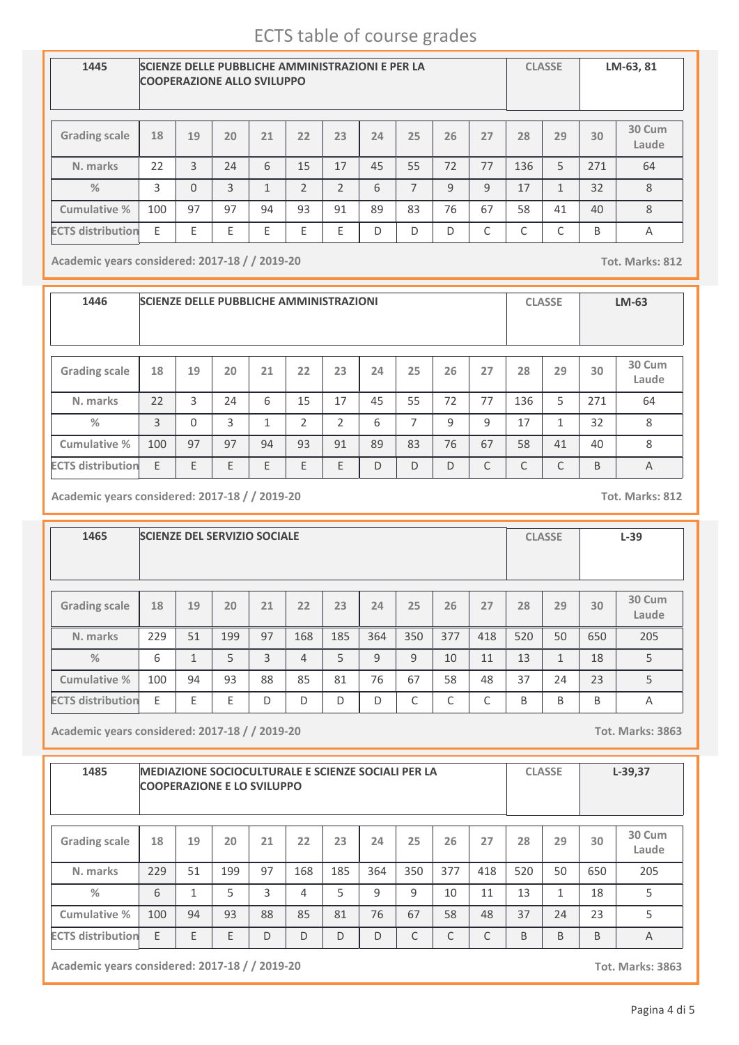| 1445                     |     | <b>COOPERAZIONE ALLO SVILUPPO</b> |    |    |                | <b>SCIENZE DELLE PUBBLICHE AMMINISTRAZIONI E PER LA</b> |    |                |    |    |     | <b>CLASSE</b> |     | LM-63, 81       |
|--------------------------|-----|-----------------------------------|----|----|----------------|---------------------------------------------------------|----|----------------|----|----|-----|---------------|-----|-----------------|
| <b>Grading scale</b>     | 18  | 19                                | 20 | 21 | 22             | 23                                                      | 24 | 25             | 26 | 27 | 28  | 29            | 30  | 30 Cum<br>Laude |
| N. marks                 | 22  | 3                                 | 74 | 6  | 15             | 17                                                      | 45 | 55             | 72 | 77 | 136 | 5             | 271 | 64              |
| $\frac{0}{2}$            | 3   | $\Omega$                          | 3  | 1  | $\mathfrak{D}$ | $\mathcal{P}$                                           | 6  | $\overline{7}$ | 9  | 9  | 17  | $\mathbf{1}$  | 32  | 8               |
| Cumulative %             | 100 | 97                                | 97 | 94 | 93             | 91                                                      | 89 | 83             | 76 | 67 | 58  | 41            | 40  | 8               |
| <b>ECTS distribution</b> | E   | E                                 | E  | E  | Ε              | Ε                                                       | D  | D              | D  | C  | C   | С             | B   | A               |

**Academic years considered: 2017-18 / / 2019-20 Tot. Marks: 812**

**1446 SCIENZE DELLE PUBBLICHE AMMINISTRAZIONI CLASSE LM-63 Grading scale 18 N. marks Cumulative % %** 22 **19** 3 **20** 24 **<sup>21</sup> <sup>22</sup> <sup>23</sup> <sup>24</sup> <sup>25</sup> <sup>26</sup> <sup>27</sup> <sup>28</sup> <sup>29</sup> 30 Cum Laude** 6 | 15 | 17 | 45 | 55 | 72 | 77 | 136 | 5 | 271 | 64 **30** 271 3 0 3 1 2 2 6 7 9 9 17 1 32 8 100 97 97 94 93 91 89 83 76 67 58 41 40 8 **ECTS distribution** E E E E E E D D D C C C B A

**Academic years considered: 2017-18 / / 2019-20 Tot. Marks: 812**

**1465 SCIENZE DEL SERVIZIO SOCIALE CLASSE L-39 Grading scale 18 N. marks Cumulative % %** 229 **19** 51 **20** 199 **<sup>21</sup> <sup>22</sup> <sup>23</sup> <sup>24</sup> <sup>25</sup> <sup>26</sup> <sup>27</sup> <sup>28</sup> <sup>29</sup> 30 Cum Laude** 97 | 168 | 185 | 364 | 350 | 377 | 418 | 520 | 50 | 650 | 205 **30** 650  $6$   $1$   $5$   $3$   $4$   $5$   $9$   $9$   $10$   $11$   $13$   $1$   $18$   $5$ 100 94 93 88 85 81 76 67 58 48 37 24 23 5 **ECTS distribution** E E E D D D D C C C B B B A

**Academic years considered: 2017-18 / / 2019-20 Tot. Marks: 3863**

| 1485                     |     |              | <b>MEDIAZIONE SOCIOCULTURALE E SCIENZE SOCIALI PER LA</b><br><b>COOPERAZIONE E LO SVILUPPO</b> |    |     |     |     |     |     |     |     | <b>CLASSE</b> |     | $L-39,37$       |
|--------------------------|-----|--------------|------------------------------------------------------------------------------------------------|----|-----|-----|-----|-----|-----|-----|-----|---------------|-----|-----------------|
| <b>Grading scale</b>     | 18  | 19           | 20                                                                                             | 21 | 22  | 23  | 24  | 25  | 26  | 27  | 28  | 29            | 30  | 30 Cum<br>Laude |
| N. marks                 | 229 | 51           | 199                                                                                            | 97 | 168 | 185 | 364 | 350 | 377 | 418 | 520 | 50            | 650 | 205             |
| %                        | 6   | $\mathbf{1}$ | 5                                                                                              | 3  | 4   | 5   | 9   | 9   | 10  | 11  | 13  | $\mathbf{1}$  | 18  | 5               |
| Cumulative %             | 100 | 94           | 93                                                                                             | 88 | 85  | 81  | 76  | 67  | 58  | 48  | 37  | 24            | 23  | 5               |
| <b>ECTS distribution</b> | E   | E            | E                                                                                              | D  | D   | D   | D   | C   | C   | C   | B   | B             | B   | A               |

**Academic years considered: 2017-18 / / 2019-20 Tot. Marks: 3863**

Pagina 4 di 5